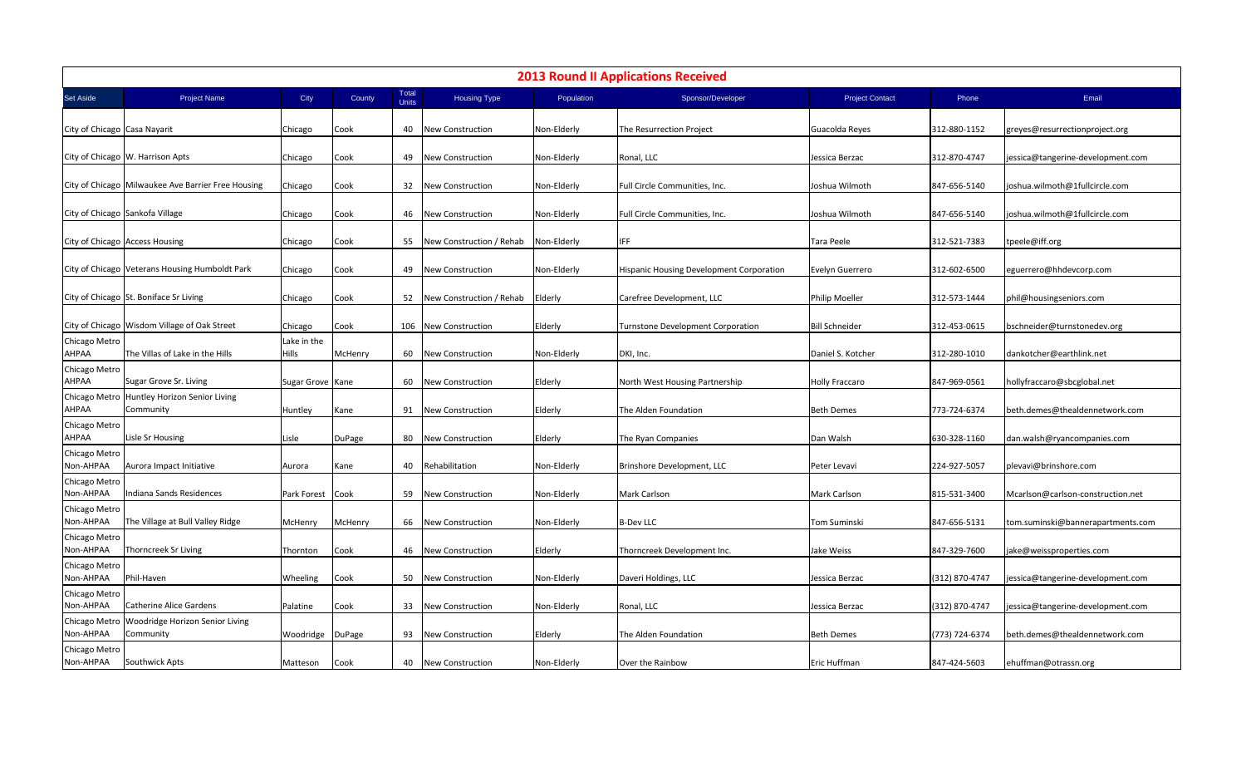| <b>2013 Round II Applications Received</b> |                                                              |                             |               |                       |                             |             |                                          |                        |                |                                   |
|--------------------------------------------|--------------------------------------------------------------|-----------------------------|---------------|-----------------------|-----------------------------|-------------|------------------------------------------|------------------------|----------------|-----------------------------------|
| Set Aside                                  | <b>Project Name</b>                                          | City                        | County        | Total<br><b>Units</b> | <b>Housing Type</b>         | Population  | Sponsor/Developer                        | <b>Project Contact</b> | Phone          | Email                             |
| City of Chicago Casa Nayarit               |                                                              | Chicago                     | Cook          | 40                    | <b>New Construction</b>     | Non-Elderly | The Resurrection Project                 | Guacolda Reyes         | 312-880-1152   | greyes@resurrectionproject.org    |
|                                            | City of Chicago   W. Harrison Apts                           | Chicago                     | Cook          |                       | 49 New Construction         | Non-Elderly | Ronal, LLC                               | Jessica Berzac         | 312-870-4747   | jessica@tangerine-development.com |
|                                            | City of Chicago Milwaukee Ave Barrier Free Housing           | Chicago                     | Cook          |                       | 32 New Construction         | Non-Elderly | Full Circle Communities, Inc.            | Joshua Wilmoth         | 847-656-5140   | joshua.wilmoth@1fullcircle.com    |
|                                            | City of Chicago Sankofa Village                              | Chicago                     | Cook          |                       | 46 New Construction         | Non-Elderly | Full Circle Communities, Inc.            | Joshua Wilmoth         | 847-656-5140   | joshua.wilmoth@1fullcircle.com    |
|                                            | City of Chicago Access Housing                               | Chicago                     | Cook          | 55                    | New Construction / Rehab    | Non-Elderly | IFF                                      | Tara Peele             | 312-521-7383   | tpeele@iff.org                    |
|                                            | City of Chicago Veterans Housing Humboldt Park               | Chicago                     | Cook          |                       | 49 New Construction         | Non-Elderly | Hispanic Housing Development Corporation | Evelyn Guerrero        | 312-602-6500   | eguerrero@hhdevcorp.com           |
|                                            | City of Chicago St. Boniface Sr Living                       | Chicago                     | Cook          |                       | 52 New Construction / Rehab | Elderly     | Carefree Development, LLC                | Philip Moeller         | 312-573-1444   | phil@housingseniors.com           |
|                                            | City of Chicago   Wisdom Village of Oak Street               | Chicago                     | Cook          |                       | 106 New Construction        | Elderly     | Turnstone Development Corporation        | <b>Bill Schneider</b>  | 312-453-0615   | bschneider@turnstonedev.org       |
| Chicago Metro<br>AHPAA                     | The Villas of Lake in the Hills                              | Lake in the<br><b>Hills</b> | McHenry       | 60                    | <b>New Construction</b>     | Non-Elderly | DKI, Inc.                                | Daniel S. Kotcher      | 312-280-1010   | dankotcher@earthlink.net          |
| Chicago Metro<br>AHPAA                     | Sugar Grove Sr. Living                                       | Sugar Grove Kane            |               |                       | 60 New Construction         | Elderly     | North West Housing Partnership           | <b>Holly Fraccaro</b>  | 847-969-0561   | hollyfraccaro@sbcglobal.net       |
| <b>AHPAA</b>                               | Chicago Metro Huntley Horizon Senior Living<br>Community     | Huntley                     | Kane          |                       | 91 New Construction         | Elderly     | The Alden Foundation                     | <b>Beth Demes</b>      | 773-724-6374   | beth.demes@thealdennetwork.com    |
| Chicago Metro<br>AHPAA                     | Lisle Sr Housing                                             | Lisle                       | <b>DuPage</b> | 80                    | New Construction            | Elderly     | The Ryan Companies                       | Dan Walsh              | 630-328-1160   | dan.walsh@ryancompanies.com       |
| Chicago Metro<br>Non-AHPAA                 | Aurora Impact Initiative                                     | Aurora                      | Kane          | 40                    | Rehabilitation              | Non-Elderly | Brinshore Development, LLC               | Peter Levavi           | 224-927-5057   | plevavi@brinshore.com             |
| Chicago Metro<br>Non-AHPAA                 | Indiana Sands Residences                                     | Park Forest Cook            |               | 59                    | New Construction            | Non-Elderly | Mark Carlson                             | <b>Mark Carlson</b>    | 815-531-3400   | Mcarlson@carlson-construction.net |
| Chicago Metro<br>Non-AHPAA                 | The Village at Bull Valley Ridge                             | McHenry                     | McHenry       |                       | 66 New Construction         | Non-Elderly | <b>B-Dev LLC</b>                         | <b>Tom Suminski</b>    | 847-656-5131   | tom.suminski@bannerapartments.com |
| Chicago Metro<br>Non-AHPAA                 | Thorncreek Sr Living                                         | Thornton                    | Cook          |                       | 46 New Construction         | Elderly     | Thorncreek Development Inc.              | Jake Weiss             | 847-329-7600   | jake@weissproperties.com          |
| Chicago Metro<br>Non-AHPAA                 | Phil-Haven                                                   | Wheeling                    | Cook          | 50                    | <b>New Construction</b>     | Non-Elderly | Daveri Holdings, LLC                     | Jessica Berzac         | (312) 870-4747 | jessica@tangerine-development.com |
| Chicago Metro<br>Non-AHPAA                 | <b>Catherine Alice Gardens</b>                               | Palatine                    | Cook          | 33                    | <b>New Construction</b>     | Non-Elderly | Ronal, LLC                               | Jessica Berzac         | (312) 870-4747 | jessica@tangerine-development.com |
| Non-AHPAA                                  | Chicago Metro   Woodridge Horizon Senior Living<br>Community | Woodridge DuPage            |               | 93                    | <b>New Construction</b>     | Elderly     | The Alden Foundation                     | <b>Beth Demes</b>      | (773) 724-6374 | beth.demes@thealdennetwork.com    |
| Chicago Metro<br>Non-AHPAA                 | Southwick Apts                                               | Matteson                    | Cook          | 40                    | <b>New Construction</b>     | Non-Elderly | Over the Rainbow                         | Eric Huffman           | 847-424-5603   | ehuffman@otrassn.org              |